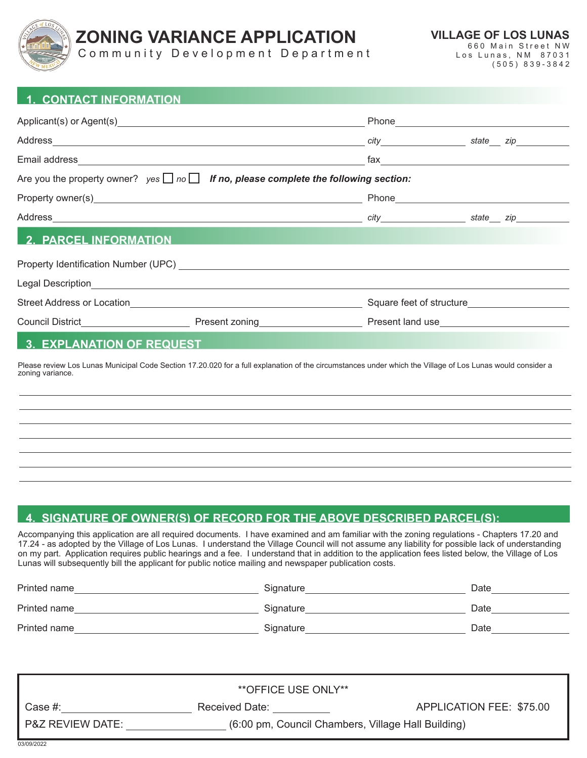

# **ZONING VARIANCE APPLICATION**

**VILLAGE OF LOS LUNAS** 660 Main Street NW Los Lunas, NM 87031

address *citate zip* 

Community Development Department

(505) 839-3842

| <b>1. CONTACT INFORMATION</b>                                                                |       |
|----------------------------------------------------------------------------------------------|-------|
|                                                                                              | Phone |
| Address                                                                                      | city  |
| Email address                                                                                | fax   |
| Are you the property owner? $yes \Box no \Box$ If no, please complete the following section: |       |
| Property owner(s)                                                                            | Phone |

Address *city state zip*

## **2. PARCEL INFORMATION**

| Property Identification Number (UPC) |                |                          |
|--------------------------------------|----------------|--------------------------|
| Legal Description                    |                |                          |
| <b>Street Address or Location</b>    |                | Square feet of structure |
| Council District                     | Present zoning | Present land use         |
|                                      |                |                          |

#### **3. EXPLANATION OF REQUEST**

Please review Los Lunas Municipal Code Section 17.20.020 for a full explanation of the circumstances under which the Village of Los Lunas would consider a zoning variance.

## **4. SIGNATURE OF OWNER(S) OF RECORD FOR THE ABOVE DESCRIBED PARCEL(S):**

Accompanying this application are all required documents. I have examined and am familiar with the zoning regulations - Chapters 17.20 and 17.24 - as adopted by the Village of Los Lunas. I understand the Village Council will not assume any liability for possible lack of understanding on my part. Application requires public hearings and a fee. I understand that in addition to the application fees listed below, the Village of Los Lunas will subsequently bill the applicant for public notice mailing and newspaper publication costs.

| Printed name | Signature | Date |
|--------------|-----------|------|
| Printed name | Signature | Date |
| Printed name | Signature | Date |

| **OFFICE USE ONLY**         |                                                    |                          |  |  |  |
|-----------------------------|----------------------------------------------------|--------------------------|--|--|--|
| Case #:                     | Received Date:                                     | APPLICATION FEE: \$75.00 |  |  |  |
| <b>P&amp;Z REVIEW DATE:</b> | (6:00 pm, Council Chambers, Village Hall Building) |                          |  |  |  |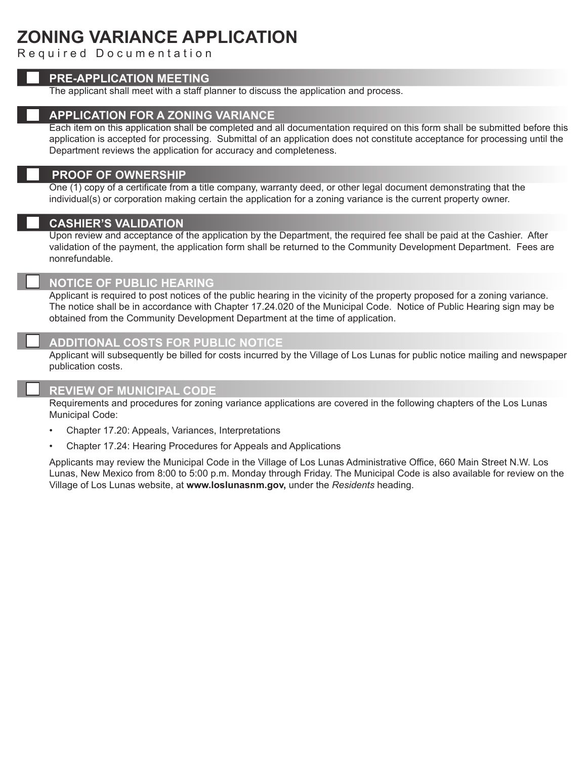# **ZONING VARIANCE APPLICATION**

Required Documentation

#### **PRE-APPLICATION MEETING**

The applicant shall meet with a staff planner to discuss the application and process.

### **APPLICATION FOR A ZONING VARIANCE**

Each item on this application shall be completed and all documentation required on this form shall be submitted before this application is accepted for processing. Submittal of an application does not constitute acceptance for processing until the Department reviews the application for accuracy and completeness.

#### **PROOF OF OWNERSHIP**

One (1) copy of a certificate from a title company, warranty deed, or other legal document demonstrating that the individual(s) or corporation making certain the application for a zoning variance is the current property owner.

#### **CASHIER'S VALIDATION**

Upon review and acceptance of the application by the Department, the required fee shall be paid at the Cashier. After validation of the payment, the application form shall be returned to the Community Development Department. Fees are nonrefundable.

#### **NOTICE OF PUBLIC HEARING**

Applicant is required to post notices of the public hearing in the vicinity of the property proposed for a zoning variance. The notice shall be in accordance with Chapter 17.24.020 of the Municipal Code. Notice of Public Hearing sign may be obtained from the Community Development Department at the time of application.

### **ADDITIONAL COSTS FOR PUBLIC NOTICE**

Applicant will subsequently be billed for costs incurred by the Village of Los Lunas for public notice mailing and newspaper publication costs.

#### **REVIEW OF MUNICIPAL CODE**

Requirements and procedures for zoning variance applications are covered in the following chapters of the Los Lunas Municipal Code:

- Chapter 17.20: Appeals, Variances, Interpretations
- Chapter 17.24: Hearing Procedures for Appeals and Applications

Applicants may review the Municipal Code in the Village of Los Lunas Administrative Office, 660 Main Street N.W. Los Lunas, New Mexico from 8:00 to 5:00 p.m. Monday through Friday. The Municipal Code is also available for review on the Village of Los Lunas website, at **www.loslunasnm.gov,** under the *Residents* heading.